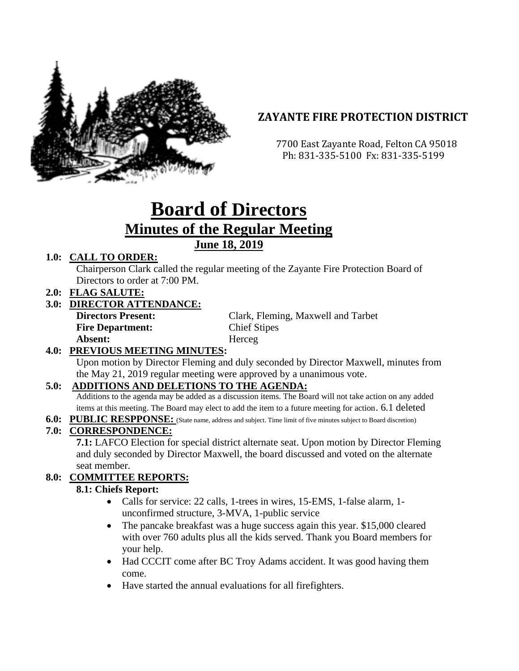

# **ZAYANTE FIRE PROTECTION DISTRICT**

 7700 East Zayante Road, Felton CA 95018 Ph: 831-335-5100 Fx: 831-335-5199

# **Board of Directors Minutes of the Regular Meeting June 18, 2019**

# **1.0: CALL TO ORDER:**

Chairperson Clark called the regular meeting of the Zayante Fire Protection Board of Directors to order at 7:00 PM.

**2.0: FLAG SALUTE:**

# **3.0: DIRECTOR ATTENDANCE:**

| <b>Directors Present:</b> | Clark, Fleming, Maxwell and Tarbet |
|---------------------------|------------------------------------|
| <b>Fire Department:</b>   | <b>Chief Stipes</b>                |
| Absent:                   | Herceg                             |

# **4.0: PREVIOUS MEETING MINUTES:**

Upon motion by Director Fleming and duly seconded by Director Maxwell, minutes from the May 21, 2019 regular meeting were approved by a unanimous vote.

#### **5.0: ADDITIONS AND DELETIONS TO THE AGENDA:**

Additions to the agenda may be added as a discussion items. The Board will not take action on any added items at this meeting. The Board may elect to add the item to a future meeting for action. 6.1 deleted

**6.0: PUBLIC RESPPONSE:** (State name, address and subject. Time limit of five minutes subject to Board discretion)

# **7.0: CORRESPONDENCE:**

**7.1:** LAFCO Election for special district alternate seat. Upon motion by Director Fleming and duly seconded by Director Maxwell, the board discussed and voted on the alternate seat member.

# **8.0: COMMITTEE REPORTS:**

#### **8.1: Chiefs Report:**

- Calls for service: 22 calls, 1-trees in wires, 15-EMS, 1-false alarm, 1 unconfirmed structure, 3-MVA, 1-public service
- The pancake breakfast was a huge success again this year. \$15,000 cleared with over 760 adults plus all the kids served. Thank you Board members for your help.
- Had CCCIT come after BC Troy Adams accident. It was good having them come.
- Have started the annual evaluations for all firefighters.